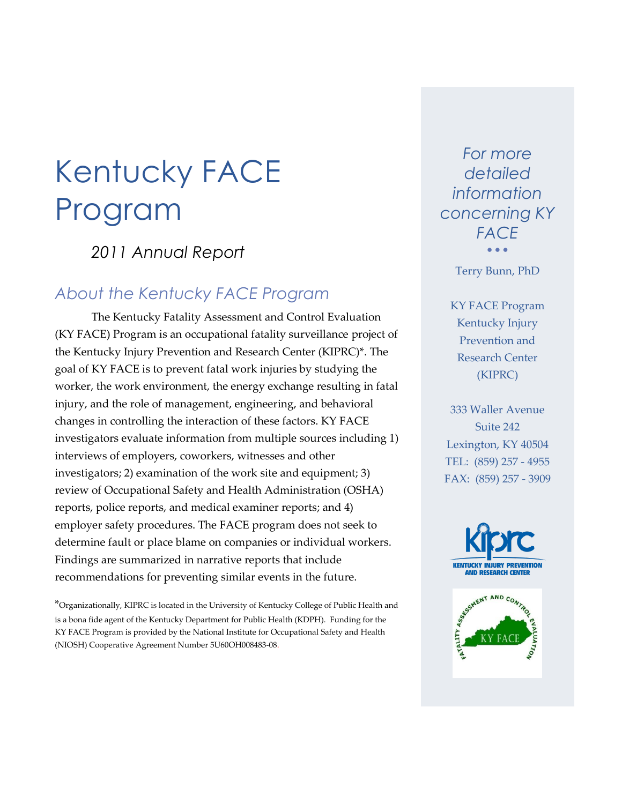# Kentucky FACE Program

*2011 Annual Report*

### *About the Kentucky FACE Program*

The Kentucky Fatality Assessment and Control Evaluation (KY FACE) Program is an occupational fatality surveillance project of the Kentucky Injury Prevention and Research Center (KIPRC)\*. The goal of KY FACE is to prevent fatal work injuries by studying the worker, the work environment, the energy exchange resulting in fatal injury, and the role of management, engineering, and behavioral changes in controlling the interaction of these factors. KY FACE investigators evaluate information from multiple sources including 1) interviews of employers, coworkers, witnesses and other investigators; 2) examination of the work site and equipment; 3) review of Occupational Safety and Health Administration (OSHA) reports, police reports, and medical examiner reports; and 4) employer safety procedures. The FACE program does not seek to determine fault or place blame on companies or individual workers. Findings are summarized in narrative reports that include recommendations for preventing similar events in the future.

\*Organizationally, KIPRC is located in the University of Kentucky College of Public Health and is a bona fide agent of the Kentucky Department for Public Health (KDPH). Funding for the KY FACE Program is provided by the National Institute for Occupational Safety and Health (NIOSH) Cooperative Agreement Number 5U60OH008483-08.

*For more detailed information concerning KY FACE*  $\bullet$   $\bullet$   $\bullet$ 

Terry Bunn, PhD

KY FACE Program Kentucky Injury Prevention and Research Center (KIPRC)

333 Waller Avenue Suite 242 Lexington, KY 40504 TEL: (859) 257 - 4955 FAX: (859) 257 - 3909

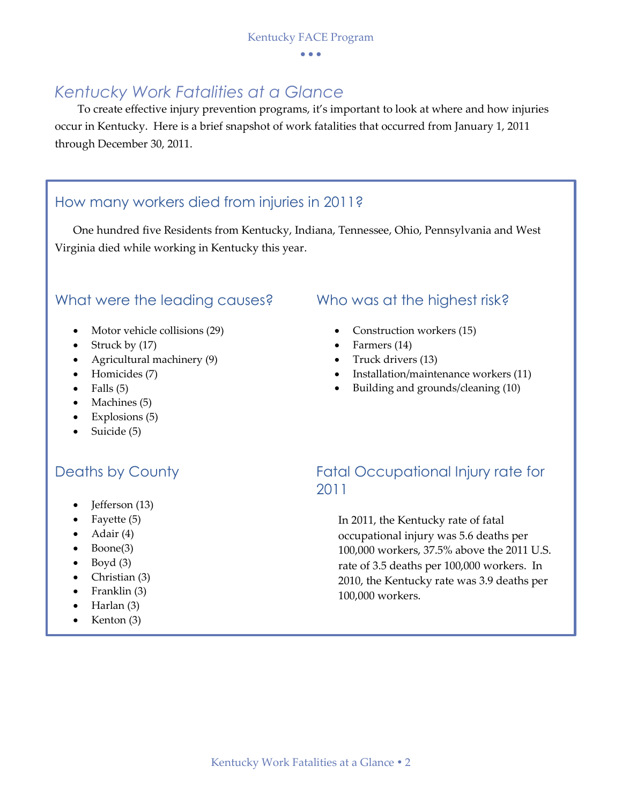### *Kentucky Work Fatalities at a Glance*

To create effective injury prevention programs, it's important to look at where and how injuries occur in Kentucky. Here is a brief snapshot of work fatalities that occurred from January 1, 2011 through December 30, 2011.

### How many workers died from injuries in 2011?

One hundred five Residents from Kentucky, Indiana, Tennessee, Ohio, Pennsylvania and West Virginia died while working in Kentucky this year.

### What were the leading causes? Who was at the highest risk?

- Motor vehicle collisions (29)
- Struck by  $(17)$
- Agricultural machinery (9)
- Homicides (7)
- $\bullet$  Falls (5)
- Machines (5)
- $\bullet$  Explosions (5)
- $\bullet$  Suicide (5)

- Jefferson (13)
- Fayette (5)
- $\bullet$  Adair (4)
- $\bullet$  Boone(3)
- $\bullet$  Boyd (3)
- Christian (3)
- $\bullet$  Franklin (3)
- $\bullet$  Harlan (3)
- Kenton (3)

- Construction workers (15)
- Farmers (14)
- Truck drivers (13)
- Installation/maintenance workers (11)
- Building and grounds/cleaning (10)

### Deaths by County **Example 20 Fatal Occupational Injury rate for** 2011

In 2011, the Kentucky rate of fatal occupational injury was 5.6 deaths per 100,000 workers, 37.5% above the 2011 U.S. rate of 3.5 deaths per 100,000 workers. In 2010, the Kentucky rate was 3.9 deaths per 100,000 workers.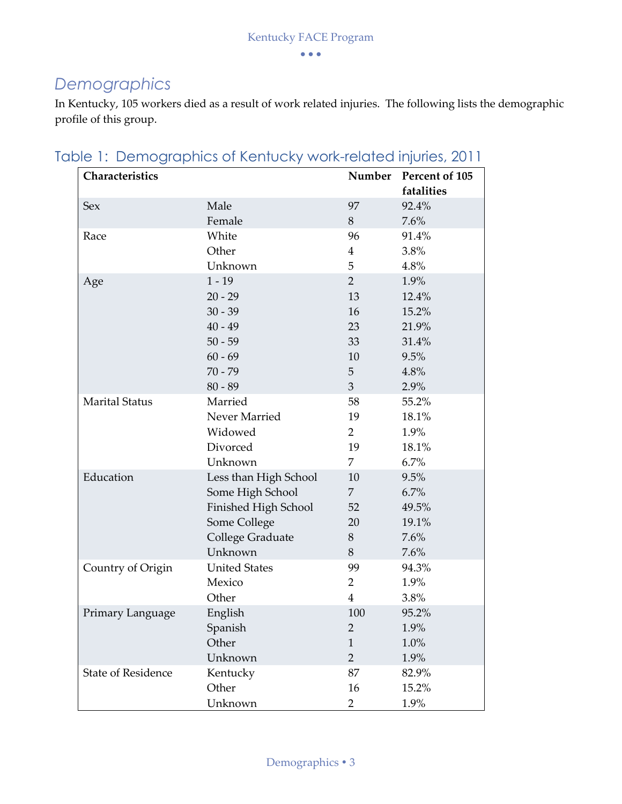### *Demographics*

In Kentucky, 105 workers died as a result of work related injuries. The following lists the demographic profile of this group.

| Characteristics           |                       |                | Number Percent of 105<br>fatalities |
|---------------------------|-----------------------|----------------|-------------------------------------|
| Sex                       | Male                  | 97             | 92.4%                               |
|                           | Female                | 8              | 7.6%                                |
| Race                      | White                 | 96             | 91.4%                               |
|                           | Other                 | 4              | 3.8%                                |
|                           | Unknown               | 5              | 4.8%                                |
| Age                       | $1 - 19$              | $\overline{2}$ | 1.9%                                |
|                           | $20 - 29$             | 13             | 12.4%                               |
|                           | $30 - 39$             | 16             | 15.2%                               |
|                           | $40 - 49$             | 23             | 21.9%                               |
|                           | $50 - 59$             | 33             | 31.4%                               |
|                           | $60 - 69$             | 10             | 9.5%                                |
|                           | $70 - 79$             | 5              | 4.8%                                |
|                           | $80 - 89$             | $\overline{3}$ | 2.9%                                |
| <b>Marital Status</b>     | Married               | 58             | 55.2%                               |
|                           | Never Married         | 19             | 18.1%                               |
|                           | Widowed               | $\overline{2}$ | 1.9%                                |
|                           | Divorced              | 19             | 18.1%                               |
|                           | Unknown               | 7              | 6.7%                                |
| Education                 | Less than High School | 10             | 9.5%                                |
|                           | Some High School      | 7              | 6.7%                                |
|                           | Finished High School  | 52             | 49.5%                               |
|                           | Some College          | 20             | 19.1%                               |
|                           | College Graduate      | 8              | 7.6%                                |
|                           | Unknown               | 8              | 7.6%                                |
| Country of Origin         | <b>United States</b>  | 99             | 94.3%                               |
|                           | Mexico                | $\overline{2}$ | 1.9%                                |
|                           | Other                 | $\overline{4}$ | 3.8%                                |
| Primary Language          | English               | 100            | 95.2%                               |
|                           | Spanish               | $\overline{2}$ | 1.9%                                |
|                           | Other                 | $\mathbf{1}$   | 1.0%                                |
|                           | Unknown               | $\overline{2}$ | 1.9%                                |
| <b>State of Residence</b> | Kentucky              | 87             | 82.9%                               |
|                           | Other                 | 16             | 15.2%                               |
|                           | Unknown               | $\overline{2}$ | 1.9%                                |

Table 1: Demographics of Kentucky work-related injuries, 2011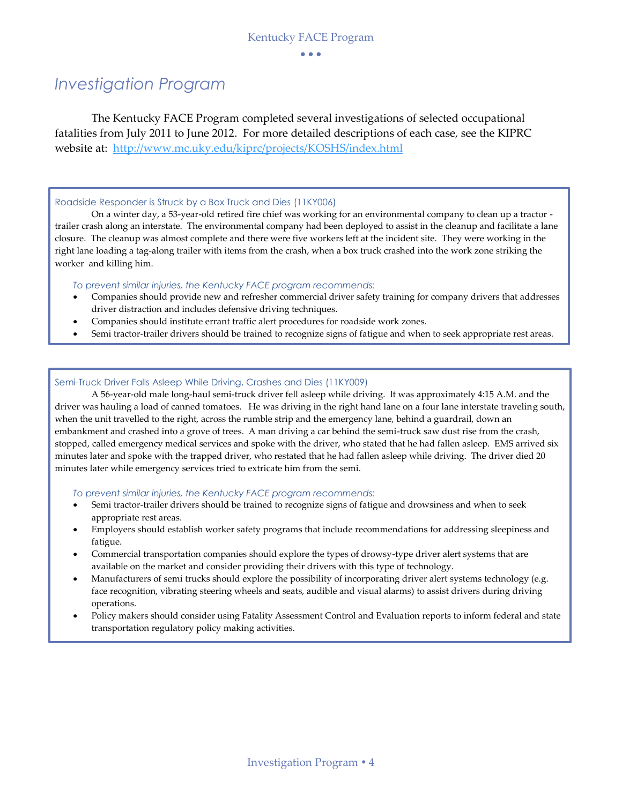### *Investigation Program*

The Kentucky FACE Program completed several investigations of selected occupational fatalities from July 2011 to June 2012. For more detailed descriptions of each case, see the KIPRC website at: <http://www.mc.uky.edu/kiprc/projects/KOSHS/index.html>

#### Roadside Responder is Struck by a Box Truck and Dies (11KY006)

On a winter day, a 53-year-old retired fire chief was working for an environmental company to clean up a tractor trailer crash along an interstate. The environmental company had been deployed to assist in the cleanup and facilitate a lane closure. The cleanup was almost complete and there were five workers left at the incident site. They were working in the right lane loading a tag-along trailer with items from the crash, when a box truck crashed into the work zone striking the worker and killing him.

*To prevent similar injuries, the Kentucky FACE program recommends:*

- Companies should provide new and refresher commercial driver safety training for company drivers that addresses driver distraction and includes defensive driving techniques.
- Companies should institute errant traffic alert procedures for roadside work zones.
- Semi tractor-trailer drivers should be trained to recognize signs of fatigue and when to seek appropriate rest areas.

#### Semi-Truck Driver Falls Asleep While Driving, Crashes and Dies (11KY009)

A 56-year-old male long-haul semi-truck driver fell asleep while driving. It was approximately 4:15 A.M. and the driver was hauling a load of canned tomatoes. He was driving in the right hand lane on a four lane interstate traveling south, when the unit travelled to the right, across the rumble strip and the emergency lane, behind a guardrail, down an embankment and crashed into a grove of trees. A man driving a car behind the semi-truck saw dust rise from the crash, stopped, called emergency medical services and spoke with the driver, who stated that he had fallen asleep. EMS arrived six minutes later and spoke with the trapped driver, who restated that he had fallen asleep while driving. The driver died 20 minutes later while emergency services tried to extricate him from the semi.

*To prevent similar injuries, the Kentucky FACE program recommends:*

- Semi tractor-trailer drivers should be trained to recognize signs of fatigue and drowsiness and when to seek appropriate rest areas.
- Employers should establish worker safety programs that include recommendations for addressing sleepiness and fatigue.
- Commercial transportation companies should explore the types of drowsy-type driver alert systems that are available on the market and consider providing their drivers with this type of technology.
- Manufacturers of semi trucks should explore the possibility of incorporating driver alert systems technology (e.g. face recognition, vibrating steering wheels and seats, audible and visual alarms) to assist drivers during driving operations.
- Policy makers should consider using Fatality Assessment Control and Evaluation reports to inform federal and state transportation regulatory policy making activities.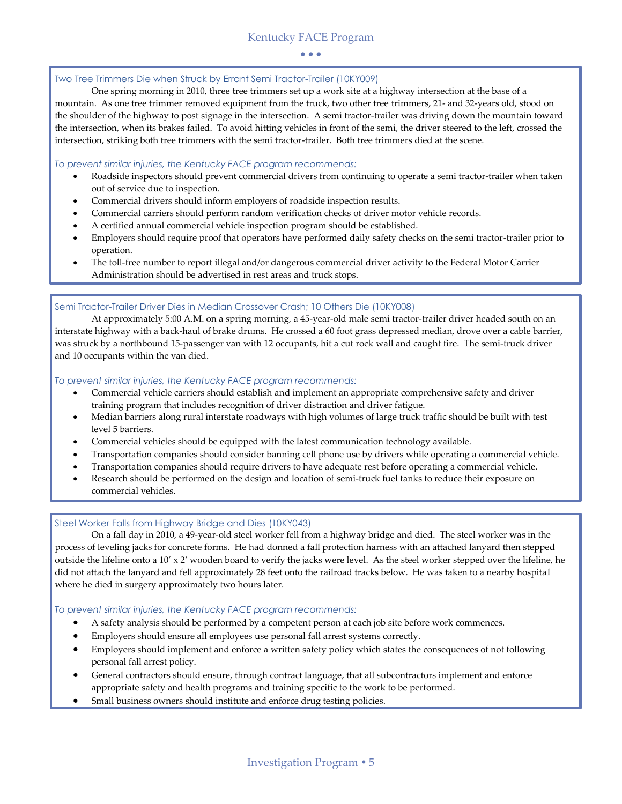#### Two Tree Trimmers Die when Struck by Errant Semi Tractor-Trailer (10KY009)

One spring morning in 2010, three tree trimmers set up a work site at a highway intersection at the base of a mountain. As one tree trimmer removed equipment from the truck, two other tree trimmers, 21- and 32-years old, stood on the shoulder of the highway to post signage in the intersection. A semi tractor-trailer was driving down the mountain toward the intersection, when its brakes failed. To avoid hitting vehicles in front of the semi, the driver steered to the left, crossed the intersection, striking both tree trimmers with the semi tractor-trailer. Both tree trimmers died at the scene.

#### *To prevent similar injuries, the Kentucky FACE program recommends:*

- Roadside inspectors should prevent commercial drivers from continuing to operate a semi tractor-trailer when taken out of service due to inspection.
- Commercial drivers should inform employers of roadside inspection results.
- Commercial carriers should perform random verification checks of driver motor vehicle records.
- A certified annual commercial vehicle inspection program should be established.
- Employers should require proof that operators have performed daily safety checks on the semi tractor-trailer prior to operation.
- The toll-free number to report illegal and/or dangerous commercial driver activity to the Federal Motor Carrier Administration should be advertised in rest areas and truck stops.

#### Semi Tractor-Trailer Driver Dies in Median Crossover Crash; 10 Others Die (10KY008)

At approximately 5:00 A.M. on a spring morning, a 45-year-old male semi tractor-trailer driver headed south on an interstate highway with a back-haul of brake drums. He crossed a 60 foot grass depressed median, drove over a cable barrier, was struck by a northbound 15-passenger van with 12 occupants, hit a cut rock wall and caught fire. The semi-truck driver and 10 occupants within the van died.

#### *To prevent similar injuries, the Kentucky FACE program recommends:*

- Commercial vehicle carriers should establish and implement an appropriate comprehensive safety and driver training program that includes recognition of driver distraction and driver fatigue.
- Median barriers along rural interstate roadways with high volumes of large truck traffic should be built with test level 5 barriers.
- Commercial vehicles should be equipped with the latest communication technology available.
- Transportation companies should consider banning cell phone use by drivers while operating a commercial vehicle.
- Transportation companies should require drivers to have adequate rest before operating a commercial vehicle.
- Research should be performed on the design and location of semi-truck fuel tanks to reduce their exposure on commercial vehicles.

#### Steel Worker Falls from Highway Bridge and Dies (10KY043)

On a fall day in 2010, a 49-year-old steel worker fell from a highway bridge and died. The steel worker was in the process of leveling jacks for concrete forms. He had donned a fall protection harness with an attached lanyard then stepped outside the lifeline onto a 10' x 2' wooden board to verify the jacks were level. As the steel worker stepped over the lifeline, he did not attach the lanyard and fell approximately 28 feet onto the railroad tracks below. He was taken to a nearby hospital where he died in surgery approximately two hours later.

#### *To prevent similar injuries, the Kentucky FACE program recommends:*

- A safety analysis should be performed by a competent person at each job site before work commences.
- Employers should ensure all employees use personal fall arrest systems correctly.
- Employers should implement and enforce a written safety policy which states the consequences of not following personal fall arrest policy.
- General contractors should ensure, through contract language, that all subcontractors implement and enforce appropriate safety and health programs and training specific to the work to be performed.
- Small business owners should institute and enforce drug testing policies.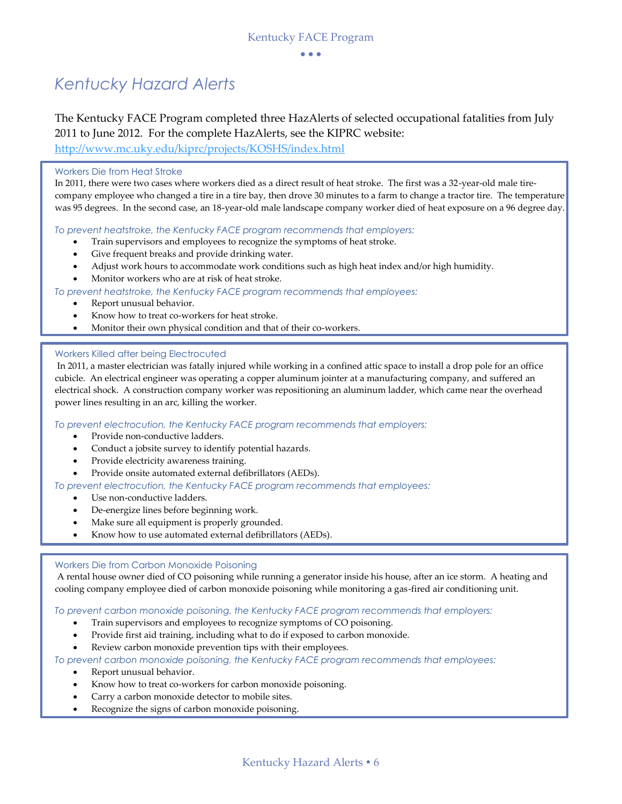## *Kentucky Hazard Alerts*

The Kentucky FACE Program completed three HazAlerts of selected occupational fatalities from July 2011 to June 2012. For the complete HazAlerts, see the KIPRC website:

<http://www.mc.uky.edu/kiprc/projects/KOSHS/index.html>

#### Workers Die from Heat Stroke

In 2011, there were two cases where workers died as a direct result of heat stroke. The first was a 32-year-old male tirecompany employee who changed a tire in a tire bay, then drove 30 minutes to a farm to change a tractor tire. The temperature was 95 degrees. In the second case, an 18-year-old male landscape company worker died of heat exposure on a 96 degree day.

*To prevent heatstroke, the Kentucky FACE program recommends that employers:*

- Train supervisors and employees to recognize the symptoms of heat stroke.
- Give frequent breaks and provide drinking water.
- Adjust work hours to accommodate work conditions such as high heat index and/or high humidity.
- Monitor workers who are at risk of heat stroke.

*To prevent heatstroke, the Kentucky FACE program recommends that employees:*

- Report unusual behavior.
- Know how to treat co-workers for heat stroke.
- Monitor their own physical condition and that of their co-workers.

#### Workers Killed after being Electrocuted

In 2011, a master electrician was fatally injured while working in a confined attic space to install a drop pole for an office cubicle. An electrical engineer was operating a copper aluminum jointer at a manufacturing company, and suffered an electrical shock. A construction company worker was repositioning an aluminum ladder, which came near the overhead power lines resulting in an arc, killing the worker.

*To prevent electrocution, the Kentucky FACE program recommends that employers:*

- Provide non-conductive ladders.
- Conduct a jobsite survey to identify potential hazards.
- Provide electricity awareness training.
- Provide onsite automated external defibrillators (AEDs).

*To prevent electrocution, the Kentucky FACE program recommends that employees:*

- Use non-conductive ladders.
- De-energize lines before beginning work.
- Make sure all equipment is properly grounded.
- Know how to use automated external defibrillators (AEDs).

#### Workers Die from Carbon Monoxide Poisoning

A rental house owner died of CO poisoning while running a generator inside his house, after an ice storm. A heating and cooling company employee died of carbon monoxide poisoning while monitoring a gas-fired air conditioning unit.

*To prevent carbon monoxide poisoning, the Kentucky FACE program recommends that employers:*

- Train supervisors and employees to recognize symptoms of CO poisoning.
- Provide first aid training, including what to do if exposed to carbon monoxide.
- Review carbon monoxide prevention tips with their employees.

#### *To prevent carbon monoxide poisoning, the Kentucky FACE program recommends that employees:*

- Report unusual behavior.
- Know how to treat co-workers for carbon monoxide poisoning.
- Carry a carbon monoxide detector to mobile sites.
- Recognize the signs of carbon monoxide poisoning.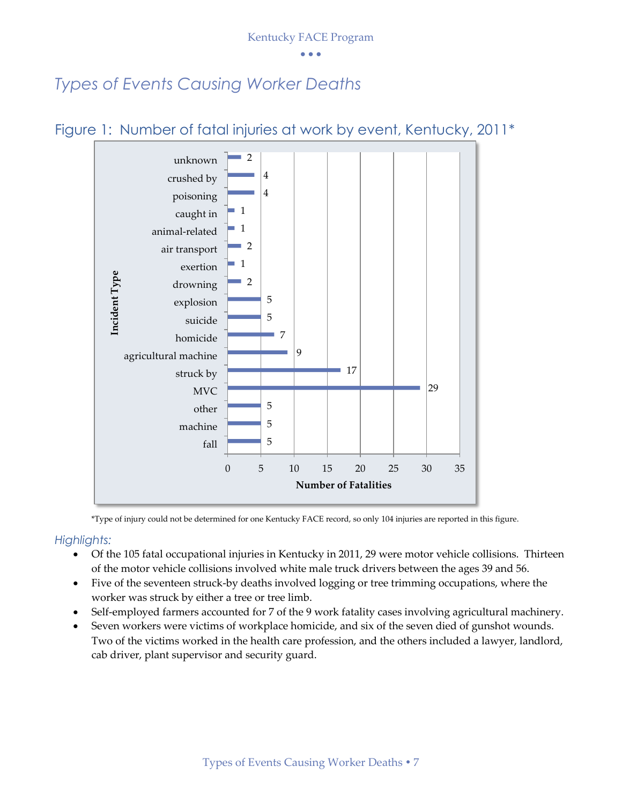Kentucky FACE Program

 $\bullet$   $\bullet$   $\bullet$ 

### *Types of Events Causing Worker Deaths*



Figure 1: Number of fatal injuries at work by event, Kentucky, 2011\*

\*Type of injury could not be determined for one Kentucky FACE record, so only 104 injuries are reported in this figure.

### *Highlights:*

- Of the 105 fatal occupational injuries in Kentucky in 2011, 29 were motor vehicle collisions. Thirteen of the motor vehicle collisions involved white male truck drivers between the ages 39 and 56.
- Five of the seventeen struck-by deaths involved logging or tree trimming occupations, where the worker was struck by either a tree or tree limb.
- Self-employed farmers accounted for 7 of the 9 work fatality cases involving agricultural machinery.
- Seven workers were victims of workplace homicide, and six of the seven died of gunshot wounds. Two of the victims worked in the health care profession, and the others included a lawyer, landlord, cab driver, plant supervisor and security guard.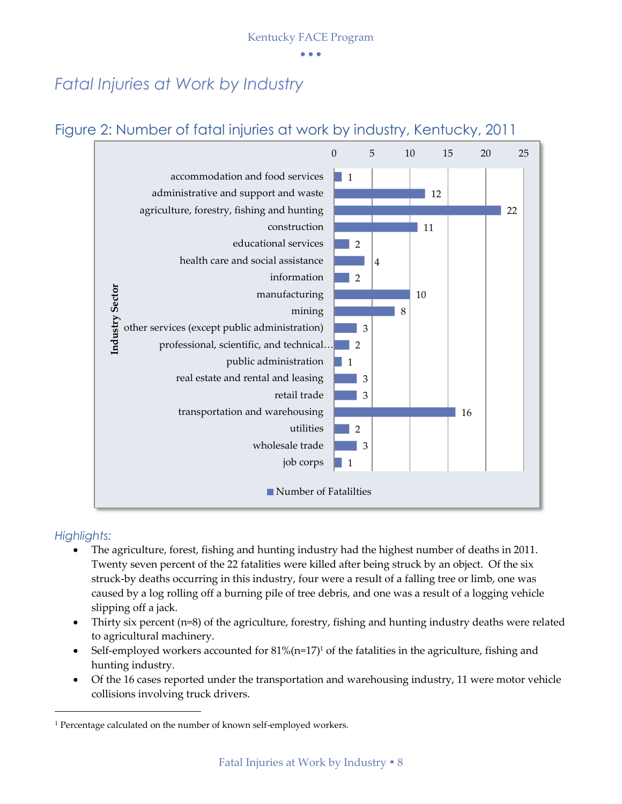Kentucky FACE Program

 $\bullet$   $\bullet$   $\bullet$ 

## *Fatal Injuries at Work by Industry*

### Figure 2: Number of fatal injuries at work by industry, Kentucky, 2011



### *Highlights:*

1

- The agriculture, forest, fishing and hunting industry had the highest number of deaths in 2011. Twenty seven percent of the 22 fatalities were killed after being struck by an object. Of the six struck-by deaths occurring in this industry, four were a result of a falling tree or limb, one was caused by a log rolling off a burning pile of tree debris, and one was a result of a logging vehicle slipping off a jack.
- Thirty six percent (n=8) of the agriculture, forestry, fishing and hunting industry deaths were related to agricultural machinery.
- Self-employed workers accounted for  $81\%/n=17$ <sup>1</sup> of the fatalities in the agriculture, fishing and hunting industry.
- Of the 16 cases reported under the transportation and warehousing industry, 11 were motor vehicle collisions involving truck drivers.

<sup>&</sup>lt;sup>1</sup> Percentage calculated on the number of known self-employed workers.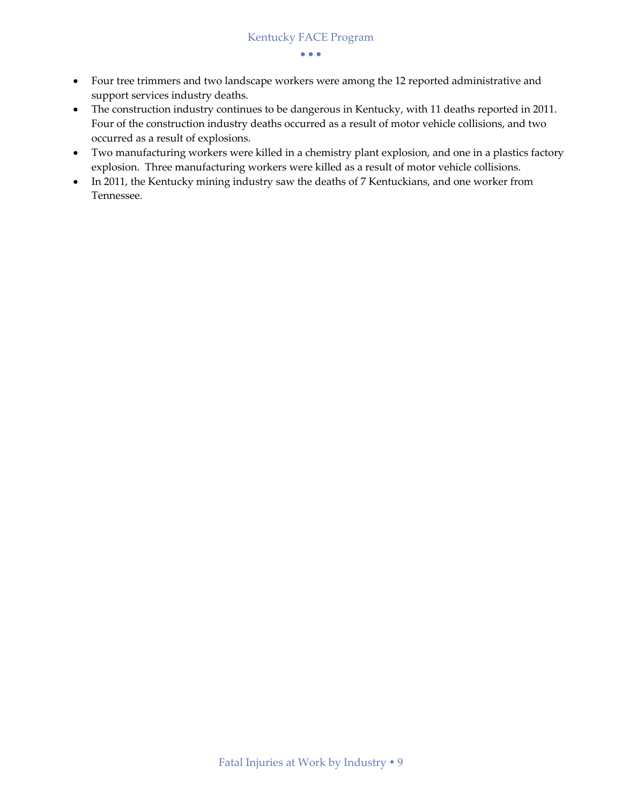- Four tree trimmers and two landscape workers were among the 12 reported administrative and support services industry deaths.
- The construction industry continues to be dangerous in Kentucky, with 11 deaths reported in 2011. Four of the construction industry deaths occurred as a result of motor vehicle collisions, and two occurred as a result of explosions.
- Two manufacturing workers were killed in a chemistry plant explosion, and one in a plastics factory explosion. Three manufacturing workers were killed as a result of motor vehicle collisions.
- In 2011, the Kentucky mining industry saw the deaths of 7 Kentuckians, and one worker from Tennessee.